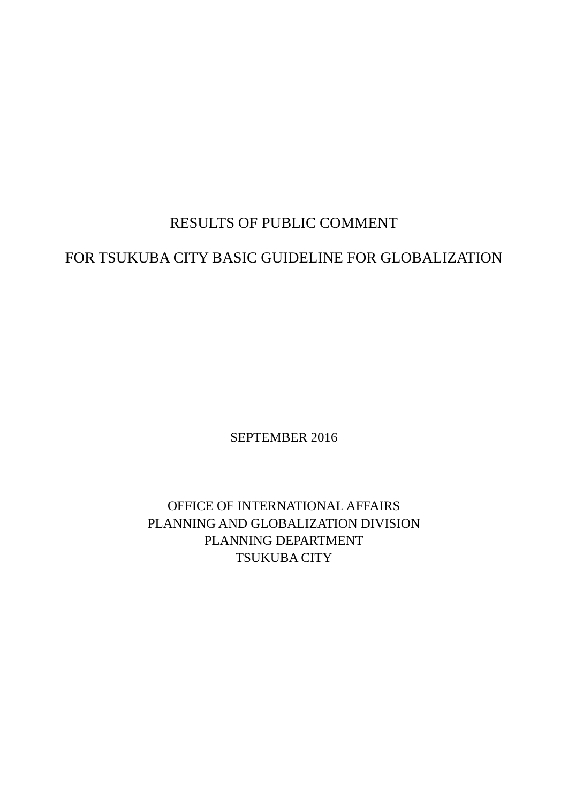# RESULTS OF PUBLIC COMMENT

# FOR TSUKUBA CITY BASIC GUIDELINE FOR GLOBALIZATION

SEPTEMBER 2016

OFFICE OF INTERNATIONAL AFFAIRS PLANNING AND GLOBALIZATION DIVISION PLANNING DEPARTMENT TSUKUBA CITY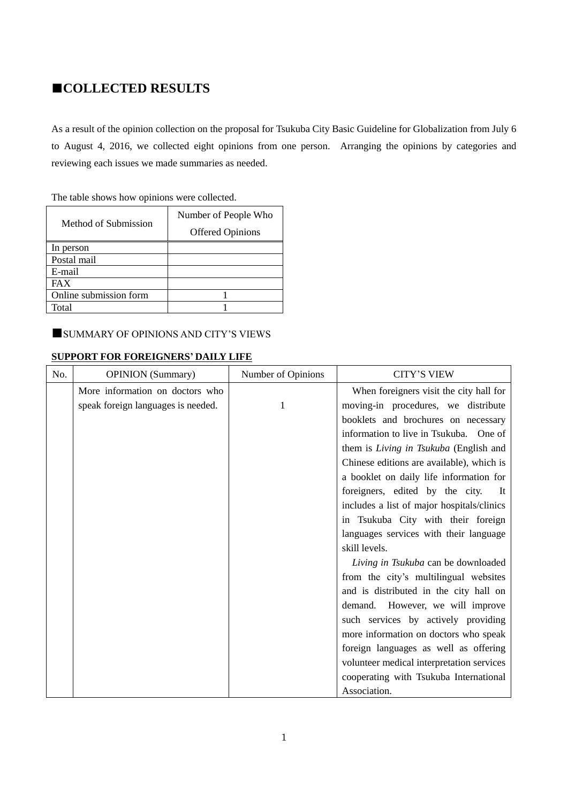# **■COLLECTED RESULTS**

As a result of the opinion collection on the proposal for Tsukuba City Basic Guideline for Globalization from July 6 to August 4, 2016, we collected eight opinions from one person. Arranging the opinions by categories and reviewing each issues we made summaries as needed.

| The table shows how opinions were collected. |  |  |  |  |  |  |  |
|----------------------------------------------|--|--|--|--|--|--|--|
|----------------------------------------------|--|--|--|--|--|--|--|

|                        | Number of People Who    |
|------------------------|-------------------------|
| Method of Submission   | <b>Offered Opinions</b> |
| In person              |                         |
| Postal mail            |                         |
| E-mail                 |                         |
| <b>FAX</b>             |                         |
| Online submission form |                         |
| Total                  |                         |

### **■**SUMMARY OF OPINIONS AND CITY'S VIEWS

### **SUPPORT FOR FOREIGNERS' DAILY LIFE**

| No. | <b>OPINION</b> (Summary)           | Number of Opinions | <b>CITY'S VIEW</b>                         |
|-----|------------------------------------|--------------------|--------------------------------------------|
|     | More information on doctors who    |                    | When foreigners visit the city hall for    |
|     | speak foreign languages is needed. |                    | moving-in procedures, we distribute        |
|     |                                    |                    | booklets and brochures on necessary        |
|     |                                    |                    | information to live in Tsukuba. One of     |
|     |                                    |                    | them is Living in Tsukuba (English and     |
|     |                                    |                    | Chinese editions are available), which is  |
|     |                                    |                    | a booklet on daily life information for    |
|     |                                    |                    | foreigners, edited by the city.<br>It      |
|     |                                    |                    | includes a list of major hospitals/clinics |
|     |                                    |                    | in Tsukuba City with their foreign         |
|     |                                    |                    | languages services with their language     |
|     |                                    |                    | skill levels.                              |
|     |                                    |                    | Living in Tsukuba can be downloaded        |
|     |                                    |                    | from the city's multilingual websites      |
|     |                                    |                    | and is distributed in the city hall on     |
|     |                                    |                    | demand. However, we will improve           |
|     |                                    |                    | such services by actively providing        |
|     |                                    |                    | more information on doctors who speak      |
|     |                                    |                    | foreign languages as well as offering      |
|     |                                    |                    | volunteer medical interpretation services  |
|     |                                    |                    | cooperating with Tsukuba International     |
|     |                                    |                    | Association.                               |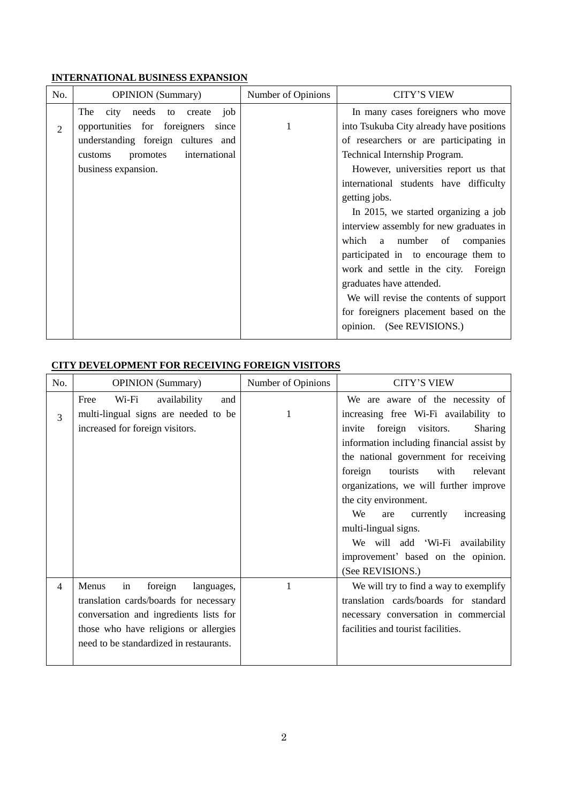## **INTERNATIONAL BUSINESS EXPANSION**

| No.            | <b>OPINION</b> (Summary)                                                                                                                                                         | Number of Opinions | <b>CITY'S VIEW</b>                                                                                                                                                                                                                                                                                                                                                                                                                                                                                                                                                                                        |
|----------------|----------------------------------------------------------------------------------------------------------------------------------------------------------------------------------|--------------------|-----------------------------------------------------------------------------------------------------------------------------------------------------------------------------------------------------------------------------------------------------------------------------------------------------------------------------------------------------------------------------------------------------------------------------------------------------------------------------------------------------------------------------------------------------------------------------------------------------------|
| $\overline{2}$ | The<br>city needs to<br>job<br>create<br>opportunities for foreigners since<br>understanding foreign cultures and<br>international<br>promotes<br>customs<br>business expansion. | 1                  | In many cases foreigners who move<br>into Tsukuba City already have positions<br>of researchers or are participating in<br>Technical Internship Program.<br>However, universities report us that<br>international students have difficulty<br>getting jobs.<br>In 2015, we started organizing a job<br>interview assembly for new graduates in<br>which a number of companies<br>participated in to encourage them to<br>work and settle in the city. Foreign<br>graduates have attended.<br>We will revise the contents of support<br>for foreigners placement based on the<br>opinion. (See REVISIONS.) |
|                |                                                                                                                                                                                  |                    |                                                                                                                                                                                                                                                                                                                                                                                                                                                                                                                                                                                                           |

## **CITY DEVELOPMENT FOR RECEIVING FOREIGN VISITORS**

| No. | <b>OPINION</b> (Summary)                                                     | Number of Opinions | <b>CITY'S VIEW</b>                                                        |
|-----|------------------------------------------------------------------------------|--------------------|---------------------------------------------------------------------------|
| 3   | Wi-Fi<br>availability<br>and<br>Free<br>multi-lingual signs are needed to be | 1                  | We are aware of the necessity of<br>increasing free Wi-Fi availability to |
|     | increased for foreign visitors.                                              |                    | foreign visitors.<br>invite<br><b>Sharing</b>                             |
|     |                                                                              |                    | information including financial assist by                                 |
|     |                                                                              |                    | the national government for receiving                                     |
|     |                                                                              |                    | foreign<br>tourists<br>with<br>relevant                                   |
|     |                                                                              |                    | organizations, we will further improve                                    |
|     |                                                                              |                    | the city environment.                                                     |
|     |                                                                              |                    | We<br>increasing<br>currently<br>are                                      |
|     |                                                                              |                    | multi-lingual signs.                                                      |
|     |                                                                              |                    | We will add 'Wi-Fi availability                                           |
|     |                                                                              |                    | improvement' based on the opinion.                                        |
|     |                                                                              |                    | (See REVISIONS.)                                                          |
| 4   | Menus<br>foreign<br>languages,<br>in                                         | 1                  | We will try to find a way to exemplify                                    |
|     | translation cards/boards for necessary                                       |                    | translation cards/boards for standard                                     |
|     | conversation and ingredients lists for                                       |                    | necessary conversation in commercial                                      |
|     | those who have religions or allergies                                        |                    | facilities and tourist facilities.                                        |
|     | need to be standardized in restaurants.                                      |                    |                                                                           |
|     |                                                                              |                    |                                                                           |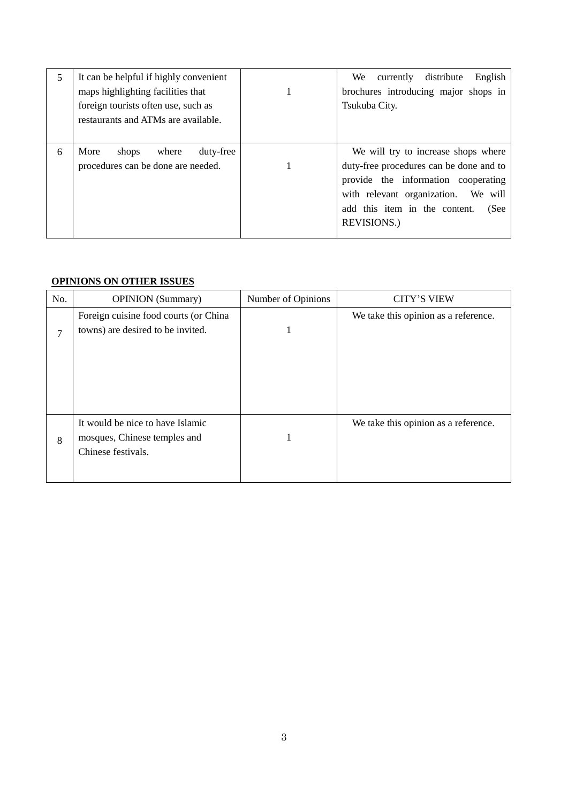| 5 | It can be helpful if highly convenient | English<br>We \<br>currently<br>distribute |
|---|----------------------------------------|--------------------------------------------|
|   | maps highlighting facilities that      | brochures introducing major shops in       |
|   | foreign tourists often use, such as    | Tsukuba City.                              |
|   | restaurants and ATMs are available.    |                                            |
|   |                                        |                                            |
| 6 | duty-free<br>More<br>where<br>shops    | We will try to increase shops where        |
|   | procedures can be done are needed.     | duty-free procedures can be done and to    |
|   |                                        | provide the information cooperating        |
|   |                                        | with relevant organization. We will        |
|   |                                        | add this item in the content.<br>(See      |
|   |                                        | <b>REVISIONS.)</b>                         |
|   |                                        |                                            |

## **OPINIONS ON OTHER ISSUES**

| No. | <b>OPINION</b> (Summary)                                                               | Number of Opinions | <b>CITY'S VIEW</b>                   |
|-----|----------------------------------------------------------------------------------------|--------------------|--------------------------------------|
| 7   | Foreign cuisine food courts (or China<br>towns) are desired to be invited.             |                    | We take this opinion as a reference. |
| 8   | It would be nice to have Islamic<br>mosques, Chinese temples and<br>Chinese festivals. |                    | We take this opinion as a reference. |